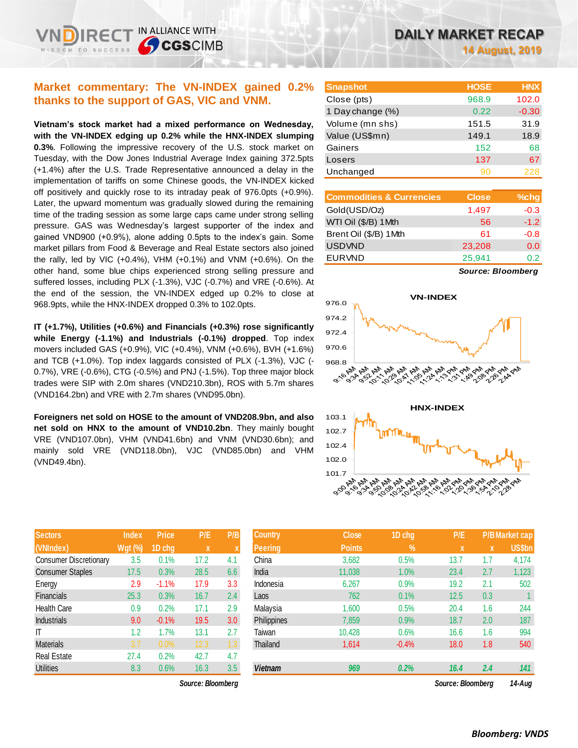## **Market commentary: The VN-INDEX gained 0.2% thanks to the support of GAS, VIC and VNM.**

IN ALLIANCE WITH

**SCGSCIMB** 

**Vietnam's stock market had a mixed performance on Wednesday, with the VN-INDEX edging up 0.2% while the HNX-INDEX slumping 0.3%**. Following the impressive recovery of the U.S. stock market on Tuesday, with the Dow Jones Industrial Average Index gaining 372.5pts (+1.4%) after the U.S. Trade Representative announced a delay in the implementation of tariffs on some Chinese goods, the VN-INDEX kicked off positively and quickly rose to its intraday peak of 976.0pts (+0.9%). Later, the upward momentum was gradually slowed during the remaining time of the trading session as some large caps came under strong selling pressure. GAS was Wednesday's largest supporter of the index and gained VND900 (+0.9%), alone adding 0.5pts to the index's gain. Some market pillars from Food & Beverage and Real Estate sectors also joined the rally, led by VIC (+0.4%), VHM (+0.1%) and VNM (+0.6%). On the other hand, some blue chips experienced strong selling pressure and suffered losses, including PLX (-1.3%), VJC (-0.7%) and VRE (-0.6%). At the end of the session, the VN-INDEX edged up 0.2% to close at 968.9pts, while the HNX-INDEX dropped 0.3% to 102.0pts.

**IT (+1.7%), Utilities (+0.6%) and Financials (+0.3%) rose significantly while Energy (-1.1%) and Industrials (-0.1%) dropped**. Top index movers included GAS (+0.9%), VIC (+0.4%), VNM (+0.6%), BVH (+1.6%) and TCB (+1.0%). Top index laggards consisted of PLX (-1.3%), VJC (- 0.7%), VRE (-0.6%), CTG (-0.5%) and PNJ (-1.5%). Top three major block trades were SIP with 2.0m shares (VND210.3bn), ROS with 5.7m shares (VND164.2bn) and VRE with 2.7m shares (VND95.0bn).

**Foreigners net sold on HOSE to the amount of VND208.9bn, and also net sold on HNX to the amount of VND10.2bn**. They mainly bought VRE (VND107.0bn), VHM (VND41.6bn) and VNM (VND30.6bn); and mainly sold VRE (VND118.0bn), VJC (VND85.0bn) and VHM (VND49.4bn).

| <b>Sectors</b>                | <b>Index</b>   | <b>Price</b> | P/E  | P/B |
|-------------------------------|----------------|--------------|------|-----|
| (VNIndex)                     | <b>Wgt (%)</b> | 1D chg       | X    | X   |
| <b>Consumer Discretionary</b> | 3.5            | 0.1%         | 17.2 | 4.1 |
| <b>Consumer Staples</b>       | 17.5           | 0.3%         | 28.5 | 6.6 |
| Energy                        | 2.9            | $-1.1%$      | 17.9 | 3.3 |
| <b>Financials</b>             | 25.3           | 0.3%         | 16.7 | 2.4 |
| <b>Health Care</b>            | 0.9            | 0.2%         | 17.1 | 2.9 |
| <b>Industrials</b>            | 9.0            | $-0.1%$      | 19.5 | 3.0 |
| IT                            | 1.2            | 1.7%         | 13.1 | 2.7 |
| <b>Materials</b>              | 3.7            | 0.0%         | 12.3 | 1.3 |
| <b>Real Estate</b>            | 27.4           | 0.2%         | 42.7 | 4.7 |
| <b>Utilities</b>              | 8.3            | 0.6%         | 16.3 | 3.5 |

*Source: Bloomberg Source: Bloomberg 14-Aug*

| <b>Snapshot</b>  | <b>HOSE</b> | <b>HNX</b> |
|------------------|-------------|------------|
| Close (pts)      | 968.9       | 102.0      |
| 1 Day change (%) | 0.22        | $-0.30$    |
| Volume (mn shs)  | 151.5       | 31.9       |
| Value (US\$mn)   | 149.1       | 18.9       |
| Gainers          | 152         | 68         |
| Losers           | 137         | 67         |
| Unchanged        | 90          | 228        |

| <b>Commodities &amp; Currencies</b> | <b>Close</b> | $%$ chg |
|-------------------------------------|--------------|---------|
| Gold(USD/Oz)                        | 1,497        | $-0.3$  |
| WTI Oil (\$/B) 1Mth                 | 56           | $-1.2$  |
| Brent Oil (\$/B) 1Mth               | 61           | $-0.8$  |
| <b>USDVND</b>                       | 23,208       | 0.0     |
| <b>EURVND</b>                       | 25,941       | 0.2     |

*Source: Bloomberg*





| <b>Sectors</b>          | <b>Index</b>   | <b>Price</b> | P/E               | P/B              | <b>Country</b> | <b>Close</b>  | 1D chg  | P/E               |     | <b>P/B Market cap</b> |
|-------------------------|----------------|--------------|-------------------|------------------|----------------|---------------|---------|-------------------|-----|-----------------------|
| (VNIndex)               | <b>Wgt (%)</b> | 1D chg       | X                 |                  | Peering        | <b>Points</b> | $\%$    | X                 | X   | <b>US\$bn</b>         |
| Consumer Discretionary  | 3.5            | 0.1%         | 17.2              | 4.1              | China          | 3,682         | 0.5%    | 13.7              | 1.7 | 4,174                 |
| <b>Consumer Staples</b> | 17.5           | 0.3%         | 28.5              | 6.6              | India          | 11,038        | 1.0%    | 23.4              | 2.7 | 1,123                 |
| Energy                  | 2.9            | $-1.1%$      | 17.9              | 3.3              | Indonesia      | 6,267         | 0.9%    | 19.2              | 2.1 | 502                   |
| Financials              | 25.3           | 0.3%         | 16.7              | 2.4              | Laos           | 762           | 0.1%    | 12.5              | 0.3 |                       |
| Health Care             | 0.9            | 0.2%         | 17.1              | 2.9              | Malaysia       | 1,600         | 0.5%    | 20.4              | 1.6 | 244                   |
| Industrials             | 9.0            | $-0.1%$      | 19.5              | 3.0 <sub>2</sub> | Philippines    | 7,859         | 0.9%    | 18.7              | 2.0 | 187                   |
| T                       | 1.2            | 1.7%         | 13.1              | 2.7              | Taiwan         | 10,428        | 0.6%    | 16.6              | 1.6 | 994                   |
| Materials               | 3.7            | 0.0%         | 12.3              | 1.3              | Thailand       | 1,614         | $-0.4%$ | 18.0              | 1.8 | 540                   |
| Real Estate             | 27.4           | 0.2%         | 42.7              | 4.7              |                |               |         |                   |     |                       |
| <b>Utilities</b>        | 8.3            | 0.6%         | 16.3              | 3.5              | <b>Vietnam</b> | 969           | 0.2%    | 16.4              | 2.4 | 141                   |
|                         |                |              | Source: Bloomberg |                  |                |               |         | Source: Bloomberg |     | $14 - \Delta$         |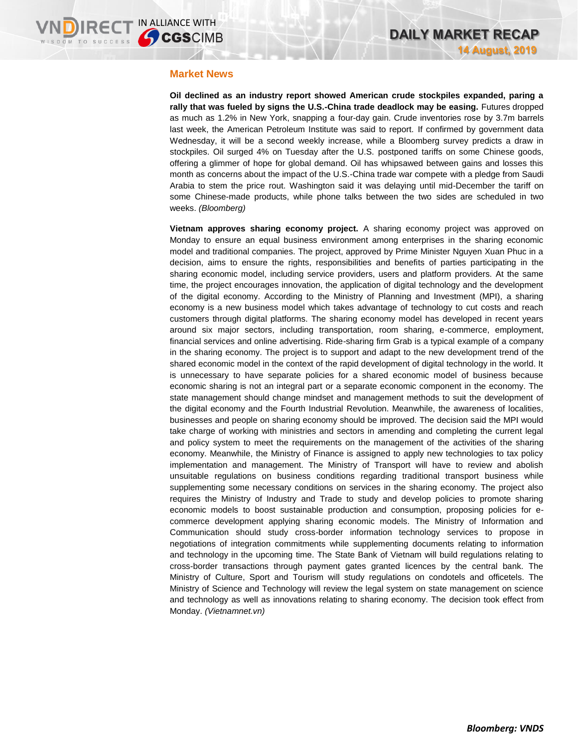## **Market News**

**Oil declined as an industry report showed American crude stockpiles expanded, paring a rally that was fueled by signs the U.S.-China trade deadlock may be easing.** Futures dropped as much as 1.2% in New York, snapping a four-day gain. Crude inventories rose by 3.7m barrels last week, the American Petroleum Institute was said to report. If confirmed by government data Wednesday, it will be a second weekly increase, while a Bloomberg survey predicts a draw in stockpiles. Oil surged 4% on Tuesday after the U.S. postponed tariffs on some Chinese goods, offering a glimmer of hope for global demand. Oil has whipsawed between gains and losses this month as concerns about the impact of the U.S.-China trade war compete with a pledge from Saudi Arabia to stem the price rout. Washington said it was delaying until mid-December the tariff on some Chinese-made products, while phone talks between the two sides are scheduled in two weeks. *(Bloomberg)*

**Vietnam approves sharing economy project.** A sharing economy project was approved on Monday to ensure an equal business environment among enterprises in the sharing economic model and traditional companies. The project, approved by Prime Minister Nguyen Xuan Phuc in a decision, aims to ensure the rights, responsibilities and benefits of parties participating in the sharing economic model, including service providers, users and platform providers. At the same time, the project encourages innovation, the application of digital technology and the development of the digital economy. According to the Ministry of Planning and Investment (MPI), a sharing economy is a new business model which takes advantage of technology to cut costs and reach customers through digital platforms. The sharing economy model has developed in recent years around six major sectors, including transportation, room sharing, e-commerce, employment, financial services and online advertising. Ride-sharing firm Grab is a typical example of a company in the sharing economy. The project is to support and adapt to the new development trend of the shared economic model in the context of the rapid development of digital technology in the world. It is unnecessary to have separate policies for a shared economic model of business because economic sharing is not an integral part or a separate economic component in the economy. The state management should change mindset and management methods to suit the development of the digital economy and the Fourth Industrial Revolution. Meanwhile, the awareness of localities, businesses and people on sharing economy should be improved. The decision said the MPI would take charge of working with ministries and sectors in amending and completing the current legal and policy system to meet the requirements on the management of the activities of the sharing economy. Meanwhile, the Ministry of Finance is assigned to apply new technologies to tax policy implementation and management. The Ministry of Transport will have to review and abolish unsuitable regulations on business conditions regarding traditional transport business while supplementing some necessary conditions on services in the sharing economy. The project also requires the Ministry of Industry and Trade to study and develop policies to promote sharing economic models to boost sustainable production and consumption, proposing policies for ecommerce development applying sharing economic models. The Ministry of Information and Communication should study cross-border information technology services to propose in negotiations of integration commitments while supplementing documents relating to information and technology in the upcoming time. The State Bank of Vietnam will build regulations relating to cross-border transactions through payment gates granted licences by the central bank. The Ministry of Culture, Sport and Tourism will study regulations on condotels and officetels. The Ministry of Science and Technology will review the legal system on state management on science and technology as well as innovations relating to sharing economy. The decision took effect from Monday. *(Vietnamnet.vn)*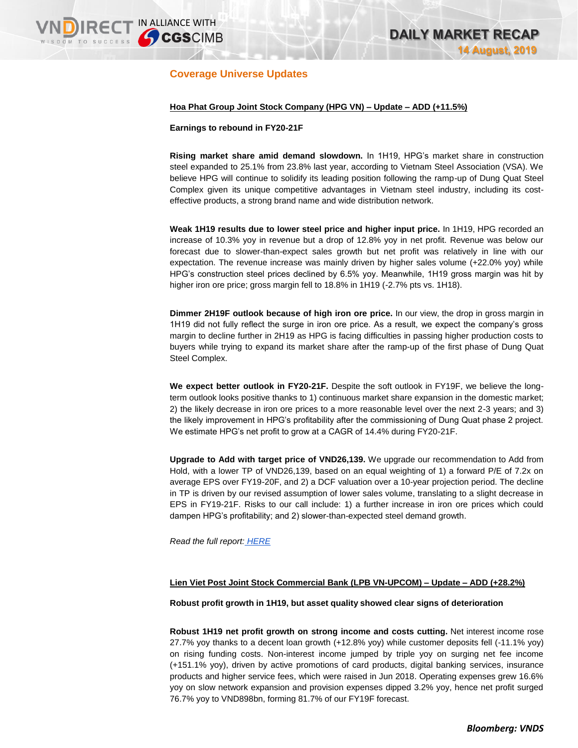## **Coverage Universe Updates**

**DIRECT IN ALLIANCE WITH** 

## **Hoa Phat Group Joint Stock Company (HPG VN) – Update – ADD (+11.5%)**

### **Earnings to rebound in FY20-21F**

**Rising market share amid demand slowdown.** In 1H19, HPG's market share in construction steel expanded to 25.1% from 23.8% last year, according to Vietnam Steel Association (VSA). We believe HPG will continue to solidify its leading position following the ramp-up of Dung Quat Steel Complex given its unique competitive advantages in Vietnam steel industry, including its costeffective products, a strong brand name and wide distribution network.

**Weak 1H19 results due to lower steel price and higher input price.** In 1H19, HPG recorded an increase of 10.3% yoy in revenue but a drop of 12.8% yoy in net profit. Revenue was below our forecast due to slower-than-expect sales growth but net profit was relatively in line with our expectation. The revenue increase was mainly driven by higher sales volume (+22.0% yoy) while HPG's construction steel prices declined by 6.5% yoy. Meanwhile, 1H19 gross margin was hit by higher iron ore price; gross margin fell to 18.8% in 1H19 (-2.7% pts vs. 1H18).

**Dimmer 2H19F outlook because of high iron ore price.** In our view, the drop in gross margin in 1H19 did not fully reflect the surge in iron ore price. As a result, we expect the company's gross margin to decline further in 2H19 as HPG is facing difficulties in passing higher production costs to buyers while trying to expand its market share after the ramp-up of the first phase of Dung Quat Steel Complex.

**We expect better outlook in FY20-21F.** Despite the soft outlook in FY19F, we believe the longterm outlook looks positive thanks to 1) continuous market share expansion in the domestic market; 2) the likely decrease in iron ore prices to a more reasonable level over the next 2-3 years; and 3) the likely improvement in HPG's profitability after the commissioning of Dung Quat phase 2 project. We estimate HPG's net profit to grow at a CAGR of 14.4% during FY20-21F.

**Upgrade to Add with target price of VND26,139.** We upgrade our recommendation to Add from Hold, with a lower TP of VND26,139, based on an equal weighting of 1) a forward P/E of 7.2x on average EPS over FY19-20F, and 2) a DCF valuation over a 10-year projection period. The decline in TP is driven by our revised assumption of lower sales volume, translating to a slight decrease in EPS in FY19-21F. Risks to our call include: 1) a further increase in iron ore prices which could dampen HPG's profitability; and 2) slower-than-expected steel demand growth.

*Read the full report: [HERE](https://static-02.vndirect.com.vn/uploads/prod/HPG_Update_20190814.pdf)*

## **Lien Viet Post Joint Stock Commercial Bank (LPB VN-UPCOM) – Update – ADD (+28.2%)**

## **Robust profit growth in 1H19, but asset quality showed clear signs of deterioration**

**Robust 1H19 net profit growth on strong income and costs cutting.** Net interest income rose 27.7% yoy thanks to a decent loan growth (+12.8% yoy) while customer deposits fell (-11.1% yoy) on rising funding costs. Non-interest income jumped by triple yoy on surging net fee income (+151.1% yoy), driven by active promotions of card products, digital banking services, insurance products and higher service fees, which were raised in Jun 2018. Operating expenses grew 16.6% yoy on slow network expansion and provision expenses dipped 3.2% yoy, hence net profit surged 76.7% yoy to VND898bn, forming 81.7% of our FY19F forecast.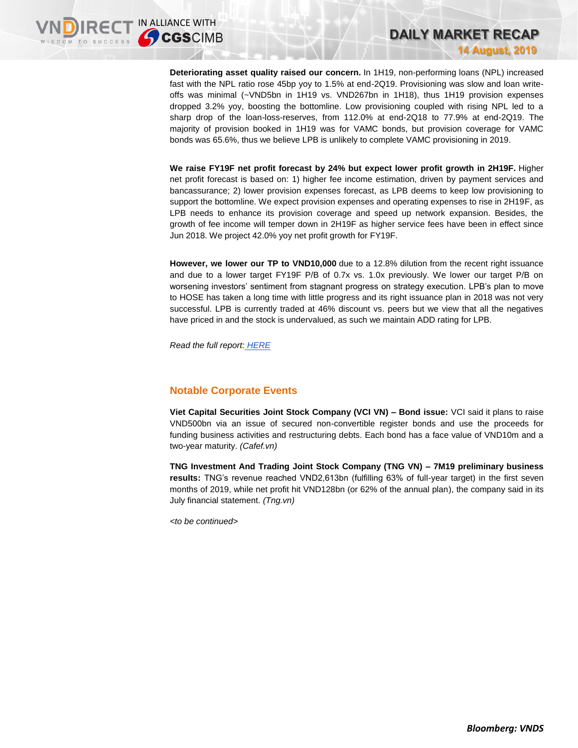**Deteriorating asset quality raised our concern.** In 1H19, non-performing loans (NPL) increased fast with the NPL ratio rose 45bp yoy to 1.5% at end-2Q19. Provisioning was slow and loan writeoffs was minimal (~VND5bn in 1H19 vs. VND267bn in 1H18), thus 1H19 provision expenses dropped 3.2% yoy, boosting the bottomline. Low provisioning coupled with rising NPL led to a sharp drop of the loan-loss-reserves, from 112.0% at end-2Q18 to 77.9% at end-2Q19. The majority of provision booked in 1H19 was for VAMC bonds, but provision coverage for VAMC bonds was 65.6%, thus we believe LPB is unlikely to complete VAMC provisioning in 2019.

**DAILY MARKET RECAP** 

**14 August, 2019**

**We raise FY19F net profit forecast by 24% but expect lower profit growth in 2H19F.** Higher net profit forecast is based on: 1) higher fee income estimation, driven by payment services and bancassurance; 2) lower provision expenses forecast, as LPB deems to keep low provisioning to support the bottomline. We expect provision expenses and operating expenses to rise in 2H19F, as LPB needs to enhance its provision coverage and speed up network expansion. Besides, the growth of fee income will temper down in 2H19F as higher service fees have been in effect since Jun 2018. We project 42.0% yoy net profit growth for FY19F.

**However, we lower our TP to VND10,000** due to a 12.8% dilution from the recent right issuance and due to a lower target FY19F P/B of 0.7x vs. 1.0x previously. We lower our target P/B on worsening investors' sentiment from stagnant progress on strategy execution. LPB's plan to move to HOSE has taken a long time with little progress and its right issuance plan in 2018 was not very successful. LPB is currently traded at 46% discount vs. peers but we view that all the negatives have priced in and the stock is undervalued, as such we maintain ADD rating for LPB.

*Read the full report: [HERE](https://static-02.vndirect.com.vn/uploads/prod/LPB_Update_20190814.pdf)*

## **Notable Corporate Events**

**Viet Capital Securities Joint Stock Company (VCI VN) – Bond issue:** VCI said it plans to raise VND500bn via an issue of secured non-convertible register bonds and use the proceeds for funding business activities and restructuring debts. Each bond has a face value of VND10m and a two-year maturity. *(Cafef.vn)*

**TNG Investment And Trading Joint Stock Company (TNG VN) – 7M19 preliminary business results:** TNG's revenue reached VND2,613bn (fulfilling 63% of full-year target) in the first seven months of 2019, while net profit hit VND128bn (or 62% of the annual plan), the company said in its July financial statement. *(Tng.vn)*

*<to be continued>*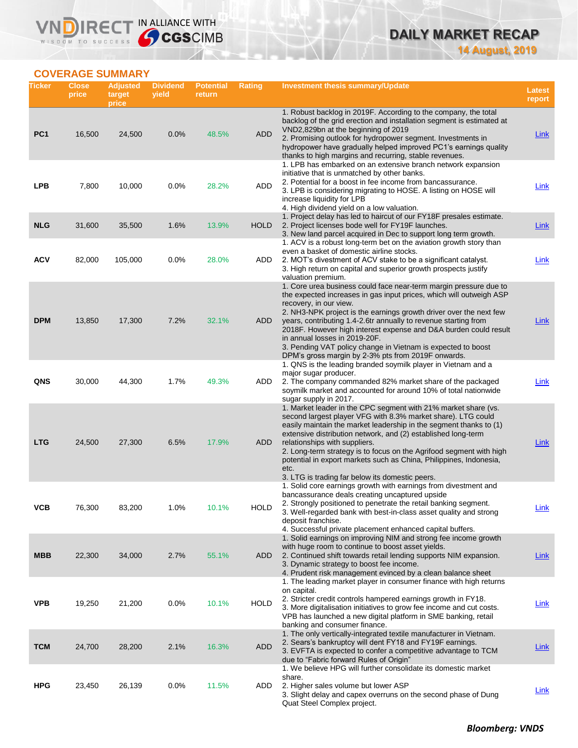## **DAILY MARKET RECAP 14 August, 2019**

## **COVERAGE SUMMARY**

WISDOM TO SUCCESS

VND

IRECT IN ALLIANCE WITH

| Ticker          | <b>Close</b><br>price | <b>Adjusted</b><br>target<br>price | <b>Dividend</b><br>yield | <b>Potential</b><br>return | <b>Rating</b> | Investment thesis summary/Update                                                                                                                                                                                                                                                                                                                                                                                                                                                                                                       |             |  |  |
|-----------------|-----------------------|------------------------------------|--------------------------|----------------------------|---------------|----------------------------------------------------------------------------------------------------------------------------------------------------------------------------------------------------------------------------------------------------------------------------------------------------------------------------------------------------------------------------------------------------------------------------------------------------------------------------------------------------------------------------------------|-------------|--|--|
| PC <sub>1</sub> | 16,500                | 24,500                             | 0.0%                     | 48.5%                      | <b>ADD</b>    | 1. Robust backlog in 2019F. According to the company, the total<br>backlog of the grid erection and installation segment is estimated at<br>VND2,829bn at the beginning of 2019<br>2. Promising outlook for hydropower segment. Investments in<br>hydropower have gradually helped improved PC1's earnings quality                                                                                                                                                                                                                     | <b>Link</b> |  |  |
| <b>LPB</b>      | 7,800                 | 10,000                             | $0.0\%$                  | 28.2%                      | ADD           | thanks to high margins and recurring, stable revenues.<br>1. LPB has embarked on an extensive branch network expansion<br>initiative that is unmatched by other banks.<br>2. Potential for a boost in fee income from bancassurance.<br>3. LPB is considering migrating to HOSE. A listing on HOSE will<br>increase liquidity for LPB                                                                                                                                                                                                  | Link        |  |  |
| <b>NLG</b>      | 31,600                | 35,500                             | 1.6%                     | 13.9%                      | <b>HOLD</b>   | 4. High dividend yield on a low valuation.<br>1. Project delay has led to haircut of our FY18F presales estimate.<br>2. Project licenses bode well for FY19F launches.<br>3. New land parcel acquired in Dec to support long term growth.                                                                                                                                                                                                                                                                                              | Link        |  |  |
| <b>ACV</b>      | 82,000                | 105,000                            | 0.0%                     | 28.0%                      | ADD           | 1. ACV is a robust long-term bet on the aviation growth story than<br>even a basket of domestic airline stocks.<br>2. MOT's divestment of ACV stake to be a significant catalyst.<br>3. High return on capital and superior growth prospects justify<br>valuation premium.                                                                                                                                                                                                                                                             | <b>Link</b> |  |  |
| <b>DPM</b>      | 13,850                | 17,300                             | 7.2%                     | 32.1%                      | ADD           | 1. Core urea business could face near-term margin pressure due to<br>the expected increases in gas input prices, which will outweigh ASP<br>recovery, in our view.<br>2. NH3-NPK project is the earnings growth driver over the next few<br>years, contributing 1.4-2.6tr annually to revenue starting from<br>2018F. However high interest expense and D&A burden could result<br>in annual losses in 2019-20F.<br>3. Pending VAT policy change in Vietnam is expected to boost<br>DPM's gross margin by 2-3% pts from 2019F onwards. | Link        |  |  |
| <b>QNS</b>      | 30,000                | 44,300                             | 1.7%                     | 49.3%                      | ADD           | 1. QNS is the leading branded soymilk player in Vietnam and a<br>major sugar producer.<br>2. The company commanded 82% market share of the packaged<br>soymilk market and accounted for around 10% of total nationwide<br>sugar supply in 2017.                                                                                                                                                                                                                                                                                        | <b>Link</b> |  |  |
| <b>LTG</b>      | 24,500                | 27,300                             | 6.5%                     | 17.9%                      | ADD           | 1. Market leader in the CPC segment with 21% market share (vs.<br>second largest player VFG with 8.3% market share). LTG could<br>easily maintain the market leadership in the segment thanks to (1)<br>extensive distribution network, and (2) established long-term<br>relationships with suppliers.<br>2. Long-term strategy is to focus on the Agrifood segment with high<br>potential in export markets such as China, Philippines, Indonesia,<br>etc.<br>3. LTG is trading far below its domestic peers.                         | Link        |  |  |
| ѴСВ             | 76,300                | 83,200                             | 1.0%                     | 10.1%                      | <b>HOLD</b>   | 1. Solid core earnings growth with earnings from divestment and<br>bancassurance deals creating uncaptured upside<br>2. Strongly positioned to penetrate the retail banking segment.<br>3. Well-regarded bank with best-in-class asset quality and strong<br>deposit franchise.<br>4. Successful private placement enhanced capital buffers.                                                                                                                                                                                           | <u>Link</u> |  |  |
| <b>MBB</b>      | 22,300                | 34,000                             | 2.7%                     | 55.1%                      | ADD           | 1. Solid earnings on improving NIM and strong fee income growth<br>with huge room to continue to boost asset yields.<br>2. Continued shift towards retail lending supports NIM expansion.<br>3. Dynamic strategy to boost fee income.<br>4. Prudent risk management evinced by a clean balance sheet                                                                                                                                                                                                                                   | <u>Link</u> |  |  |
| <b>VPB</b>      | 19,250                | 21,200                             | 0.0%                     | 10.1%                      | <b>HOLD</b>   | 1. The leading market player in consumer finance with high returns<br>on capital.<br>2. Stricter credit controls hampered earnings growth in FY18.<br>3. More digitalisation initiatives to grow fee income and cut costs.<br>VPB has launched a new digital platform in SME banking, retail<br>banking and consumer finance.                                                                                                                                                                                                          | <b>Link</b> |  |  |
| <b>TCM</b>      | 24,700                | 28,200                             | 2.1%                     | 16.3%                      | <b>ADD</b>    | 1. The only vertically-integrated textile manufacturer in Vietnam.<br>2. Sears's bankruptcy will dent FY18 and FY19F earnings.<br>3. EVFTA is expected to confer a competitive advantage to TCM<br>due to "Fabric forward Rules of Origin"                                                                                                                                                                                                                                                                                             | <b>Link</b> |  |  |
| <b>HPG</b>      | 23,450                | 26,139                             | 0.0%                     | 11.5%                      | ADD           | 1. We believe HPG will further consolidate its domestic market<br>share.<br>2. Higher sales volume but lower ASP<br>3. Slight delay and capex overruns on the second phase of Dung<br>Quat Steel Complex project.                                                                                                                                                                                                                                                                                                                      | <b>Link</b> |  |  |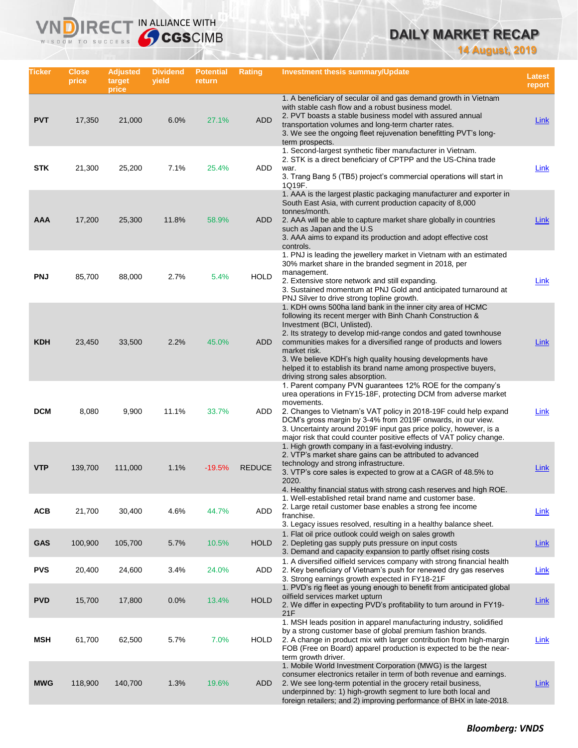# **DAILY MARKET RECAP**

**14 August, 2019**

| Ticker     | <b>Close</b><br>price | <b>Adjusted</b><br>target<br>price | <b>Dividend</b><br>yield | <b>Potential</b><br>return | <b>Rating</b> | <b>Investment thesis summary/Update</b>                                                                                                                                                                                                                                                                                                                                                                                                                                             |             |  |
|------------|-----------------------|------------------------------------|--------------------------|----------------------------|---------------|-------------------------------------------------------------------------------------------------------------------------------------------------------------------------------------------------------------------------------------------------------------------------------------------------------------------------------------------------------------------------------------------------------------------------------------------------------------------------------------|-------------|--|
| <b>PVT</b> | 17,350                | 21,000                             | 6.0%                     | 27.1%                      | <b>ADD</b>    | 1. A beneficiary of secular oil and gas demand growth in Vietnam<br>with stable cash flow and a robust business model.<br>2. PVT boasts a stable business model with assured annual<br>transportation volumes and long-term charter rates.<br>3. We see the ongoing fleet rejuvenation benefitting PVT's long-<br>term prospects.                                                                                                                                                   | <b>Link</b> |  |
| <b>STK</b> | 21,300                | 25,200                             | 7.1%                     | 25.4%                      | ADD           | 1. Second-largest synthetic fiber manufacturer in Vietnam.<br>2. STK is a direct beneficiary of CPTPP and the US-China trade<br>war.<br>3. Trang Bang 5 (TB5) project's commercial operations will start in<br>1Q19F.                                                                                                                                                                                                                                                               | Link        |  |
| <b>AAA</b> | 17,200                | 25,300                             | 11.8%                    | 58.9%                      | ADD           | 1. AAA is the largest plastic packaging manufacturer and exporter in<br>South East Asia, with current production capacity of 8,000<br>tonnes/month.<br>2. AAA will be able to capture market share globally in countries<br>such as Japan and the U.S.<br>3. AAA aims to expand its production and adopt effective cost<br>controls.                                                                                                                                                | Link        |  |
| <b>PNJ</b> | 85,700                | 88,000                             | 2.7%                     | 5.4%                       | <b>HOLD</b>   | 1. PNJ is leading the jewellery market in Vietnam with an estimated<br>30% market share in the branded segment in 2018, per<br>management.<br>2. Extensive store network and still expanding.<br>3. Sustained momentum at PNJ Gold and anticipated turnaround at<br>PNJ Silver to drive strong topline growth.                                                                                                                                                                      | <b>Link</b> |  |
| <b>KDH</b> | 23,450                | 33,500                             | 2.2%                     | 45.0%                      | <b>ADD</b>    | 1. KDH owns 500ha land bank in the inner city area of HCMC<br>following its recent merger with Binh Chanh Construction &<br>Investment (BCI, Unlisted).<br>2. Its strategy to develop mid-range condos and gated townhouse<br>communities makes for a diversified range of products and lowers<br>market risk.<br>3. We believe KDH's high quality housing developments have<br>helped it to establish its brand name among prospective buyers,<br>driving strong sales absorption. | <b>Link</b> |  |
| <b>DCM</b> | 8,080                 | 9,900                              | 11.1%                    | 33.7%                      | ADD           | 1. Parent company PVN guarantees 12% ROE for the company's<br>urea operations in FY15-18F, protecting DCM from adverse market<br>movements.<br>2. Changes to Vietnam's VAT policy in 2018-19F could help expand<br>DCM's gross margin by 3-4% from 2019F onwards, in our view.<br>3. Uncertainty around 2019F input gas price policy, however, is a<br>major risk that could counter positive effects of VAT policy change.                                                         | Link        |  |
| <b>VTP</b> | 139,700               | 111,000                            | 1.1%                     | $-19.5%$                   | <b>REDUCE</b> | 1. High growth company in a fast-evolving industry.<br>2. VTP's market share gains can be attributed to advanced<br>technology and strong infrastructure.<br>3. VTP's core sales is expected to grow at a CAGR of 48.5% to<br>2020.<br>4. Healthy financial status with strong cash reserves and high ROE.                                                                                                                                                                          | Link        |  |
| <b>ACB</b> | 21,700                | 30,400                             | 4.6%                     | 44.7%                      | ADD           | 1. Well-established retail brand name and customer base.<br>2. Large retail customer base enables a strong fee income<br>franchise.<br>3. Legacy issues resolved, resulting in a healthy balance sheet.                                                                                                                                                                                                                                                                             | <u>Link</u> |  |
| <b>GAS</b> | 100,900               | 105,700                            | 5.7%                     | 10.5%                      | <b>HOLD</b>   | 1. Flat oil price outlook could weigh on sales growth<br>2. Depleting gas supply puts pressure on input costs<br>3. Demand and capacity expansion to partly offset rising costs                                                                                                                                                                                                                                                                                                     | <b>Link</b> |  |
| <b>PVS</b> | 20,400                | 24,600                             | 3.4%                     | 24.0%                      | ADD           | 1. A diversified oilfield services company with strong financial health<br>2. Key beneficiary of Vietnam's push for renewed dry gas reserves<br>3. Strong earnings growth expected in FY18-21F                                                                                                                                                                                                                                                                                      | Link        |  |
| <b>PVD</b> | 15,700                | 17,800                             | 0.0%                     | 13.4%                      | <b>HOLD</b>   | 1. PVD's rig fleet as young enough to benefit from anticipated global<br>oilfield services market upturn<br>2. We differ in expecting PVD's profitability to turn around in FY19-<br>21F                                                                                                                                                                                                                                                                                            | <b>Link</b> |  |
| <b>MSH</b> | 61,700                | 62,500                             | 5.7%                     | 7.0%                       | <b>HOLD</b>   | 1. MSH leads position in apparel manufacturing industry, solidified<br>by a strong customer base of global premium fashion brands.<br>2. A change in product mix with larger contribution from high-margin<br>FOB (Free on Board) apparel production is expected to be the near-<br>term growth driver.                                                                                                                                                                             | <b>Link</b> |  |
| <b>MWG</b> | 118,900               | 140,700                            | 1.3%                     | 19.6%                      | ADD           | 1. Mobile World Investment Corporation (MWG) is the largest<br>consumer electronics retailer in term of both revenue and earnings.<br>2. We see long-term potential in the grocery retail business,<br>underpinned by: 1) high-growth segment to lure both local and<br>foreign retailers; and 2) improving performance of BHX in late-2018.                                                                                                                                        | <b>Link</b> |  |

IRECT IN ALLIANCE WITH

VND

WISDOM TO SUCCESS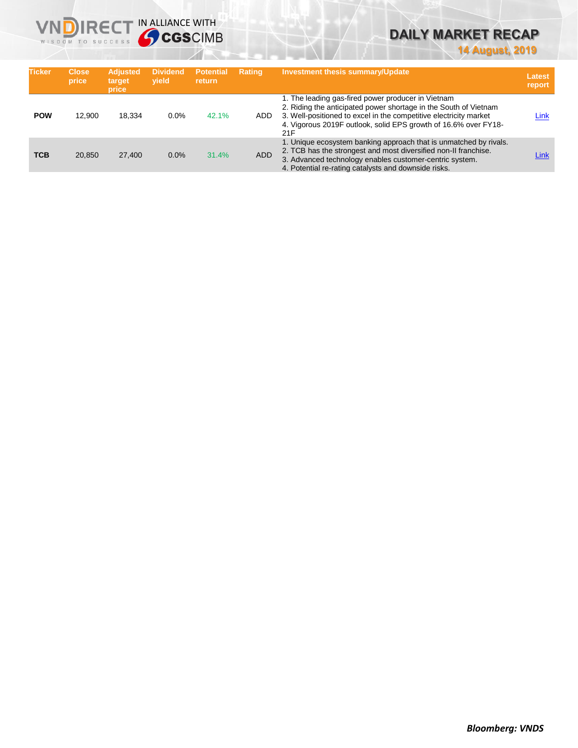

# **DAILY MARKET RECAP**

**14 August, 2019**

| <b>Ticker</b> | <b>Close</b><br>price | <b>Adjusted</b><br>target<br>price | <b>Dividend</b><br>vield | <b>Potential</b><br><b>return</b> | <b>Rating</b> | <b>Investment thesis summary/Update</b>                                                                                                                                                                                                                               | <b>Latest</b><br>report |
|---------------|-----------------------|------------------------------------|--------------------------|-----------------------------------|---------------|-----------------------------------------------------------------------------------------------------------------------------------------------------------------------------------------------------------------------------------------------------------------------|-------------------------|
| <b>POW</b>    | 12.900                | 18.334                             | $0.0\%$                  | 42.1%                             | ADD.          | 1. The leading gas-fired power producer in Vietnam<br>2. Riding the anticipated power shortage in the South of Vietnam<br>3. Well-positioned to excel in the competitive electricity market<br>4. Vigorous 2019F outlook, solid EPS growth of 16.6% over FY18-<br>21F | Link                    |
| <b>TCB</b>    | 20.850                | 27,400                             | 0.0%                     | 31.4%                             | <b>ADD</b>    | 1. Unique ecosystem banking approach that is unmatched by rivals.<br>2. TCB has the strongest and most diversified non-II franchise.<br>3. Advanced technology enables customer-centric system.<br>4. Potential re-rating catalysts and downside risks.               | Link                    |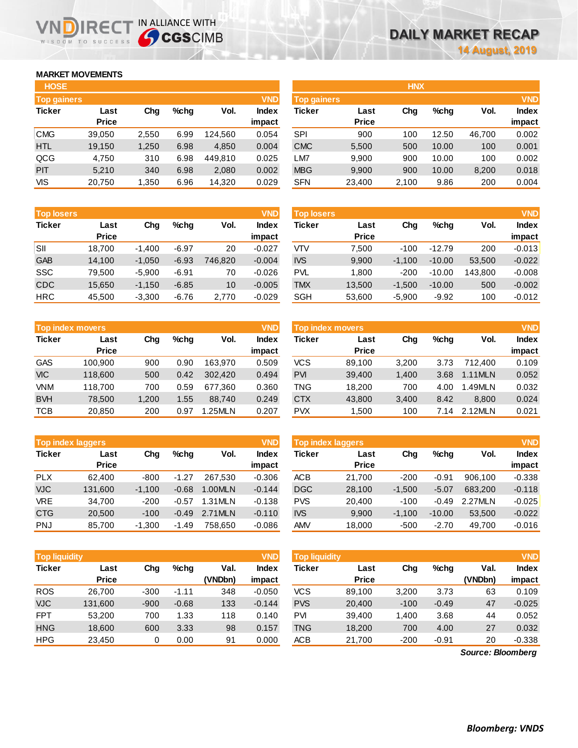## **MARKET MOVEMENTS**

WISDOM TO SUCCESS

| <b>HOSE</b>        |              |       |         |         |              | <b>HNX</b>         |              |       |         |        |            |
|--------------------|--------------|-------|---------|---------|--------------|--------------------|--------------|-------|---------|--------|------------|
| <b>Top gainers</b> |              |       |         |         | <b>VND</b>   | <b>Top gainers</b> |              |       |         |        | <b>VND</b> |
| <b>Ticker</b>      | Last         | Chg   | $%$ chq | Vol.    | <b>Index</b> | <b>Ticker</b>      | Last         | Chg   | $%$ chg | Vol.   | Index      |
|                    | <b>Price</b> |       |         |         | impact       |                    | <b>Price</b> |       |         |        | impact     |
| <b>CMG</b>         | 39,050       | 2,550 | 6.99    | 124.560 | 0.054        | <b>SPI</b>         | 900          | 100   | 12.50   | 46,700 | 0.002      |
| <b>HTL</b>         | 19,150       | 1,250 | 6.98    | 4,850   | 0.004        | <b>CMC</b>         | 5,500        | 500   | 10.00   | 100    | 0.001      |
| QCG                | 4,750        | 310   | 6.98    | 449.810 | 0.025        | LM7                | 9.900        | 900   | 10.00   | 100    | 0.002      |
| <b>PIT</b>         | 5,210        | 340   | 6.98    | 2,080   | 0.002        | <b>MBG</b>         | 9,900        | 900   | 10.00   | 8,200  | 0.018      |
| VIS                | 20,750       | 1,350 | 6.96    | 14,320  | 0.029        | <b>SFN</b>         | 23,400       | 2,100 | 9.86    | 200    | 0.004      |

**NDIRECT IN ALLIANCE WITH** 

| <b>Top losers</b> |              |          |         |         | <b>VND</b>   |
|-------------------|--------------|----------|---------|---------|--------------|
| <b>Ticker</b>     | Last         | Cha      |         | Vol.    | <b>Index</b> |
|                   | <b>Price</b> |          |         |         | impact       |
| SII               | 18,700       | $-1,400$ | $-6.97$ | 20      | $-0.027$     |
| <b>GAB</b>        | 14,100       | $-1,050$ | $-6.93$ | 746,820 | $-0.004$     |
| <b>SSC</b>        | 79,500       | $-5,900$ | $-6.91$ | 70      | $-0.026$     |
| <b>CDC</b>        | 15,650       | $-1,150$ | $-6.85$ | 10      | $-0.005$     |
| <b>HRC</b>        | 45.500       | $-3.300$ | $-6.76$ | 2.770   | $-0.029$     |

|               | <b>Top index movers</b> |       |         |         | <b>VND</b>   |
|---------------|-------------------------|-------|---------|---------|--------------|
| <b>Ticker</b> | Last                    | Cha   | $%$ chq | Vol.    | <b>Index</b> |
|               | <b>Price</b>            |       |         |         | impact       |
| <b>GAS</b>    | 100,900                 | 900   | 0.90    | 163,970 | 0.509        |
| <b>VIC</b>    | 118,600                 | 500   | 0.42    | 302,420 | 0.494        |
| <b>VNM</b>    | 118,700                 | 700   | 0.59    | 677,360 | 0.360        |
| <b>BVH</b>    | 78,500                  | 1,200 | 1.55    | 88,740  | 0.249        |
| <b>TCB</b>    | 20,850                  | 200   | 0.97    | 1.25MLN | 0.207        |

|               | <b>VND</b><br><b>Top index laggers</b> |          |         |         |              |  |  |  |  |  |  |  |
|---------------|----------------------------------------|----------|---------|---------|--------------|--|--|--|--|--|--|--|
| <b>Ticker</b> | Last                                   | Cha      | %chq    | Vol.    | <b>Index</b> |  |  |  |  |  |  |  |
|               | <b>Price</b>                           |          |         |         | impact       |  |  |  |  |  |  |  |
| <b>PLX</b>    | 62,400                                 | $-800$   | $-1.27$ | 267.530 | $-0.306$     |  |  |  |  |  |  |  |
| <b>VJC</b>    | 131,600                                | $-1,100$ | $-0.68$ | 1.00MLN | $-0.144$     |  |  |  |  |  |  |  |
| <b>VRE</b>    | 34,700                                 | $-200$   | $-0.57$ | 1.31MLN | $-0.138$     |  |  |  |  |  |  |  |
| <b>CTG</b>    | 20,500                                 | $-100$   | $-0.49$ | 2.71MLN | $-0.110$     |  |  |  |  |  |  |  |
| <b>PNJ</b>    | 85,700                                 | $-1,300$ | $-1.49$ | 758.650 | $-0.086$     |  |  |  |  |  |  |  |

**Top liquidity** 

| <b>HOSE</b>        |              |       |         |         |              | <b>HNX</b>         |              |       |         |        |              |  |
|--------------------|--------------|-------|---------|---------|--------------|--------------------|--------------|-------|---------|--------|--------------|--|
| <b>Top gainers</b> |              |       |         |         | <b>VND</b>   | <b>Top gainers</b> |              |       |         |        | <b>VND</b>   |  |
| Ticker             | Last         | Chg   | $%$ chg | Vol.    | <b>Index</b> | Ticker             | Last         | Chg   | $%$ chq | Vol.   | <b>Index</b> |  |
|                    | <b>Price</b> |       |         |         | impact       |                    | <b>Price</b> |       |         |        | impact       |  |
| CMG                | 39,050       | 2,550 | 6.99    | 124.560 | 0.054        | SPI                | 900          | 100   | 12.50   | 46.700 | 0.002        |  |
| <b>HTL</b>         | 19,150       | 1.250 | 6.98    | 4,850   | 0.004        | <b>CMC</b>         | 5,500        | 500   | 10.00   | 100    | 0.001        |  |
| QCG                | 4.750        | 310   | 6.98    | 449.810 | 0.025        | ∟M7                | 9.900        | 900   | 10.00   | 100    | 0.002        |  |
| PIT                | 5,210        | 340   | 6.98    | 2,080   | 0.002        | <b>MBG</b>         | 9,900        | 900   | 10.00   | 8,200  | 0.018        |  |
| ۱ ″Γ               | 20.750       | 1.250 | e oe    | 11000   | 0.000        | <b>OFNI</b>        | nn Lon       | 0.400 | 0.00    | 200    | 0.001        |  |

| <b>Top losers</b> |              |          |         |         | <b>VND</b>   | Top losers |              |          |          |         | <b>VND</b>   |
|-------------------|--------------|----------|---------|---------|--------------|------------|--------------|----------|----------|---------|--------------|
| <b>Ticker</b>     | Last         | Chg      | $%$ chg | Vol.    | <b>Index</b> | Ticker     | Last         | Chg      | $%$ chq  | Vol.    | <b>Index</b> |
|                   | <b>Price</b> |          |         |         | impact       |            | <b>Price</b> |          |          |         | impact       |
| SII               | 18.700       | $-1.400$ | $-6.97$ | 20      | $-0.027$     | VTV        | 7.500        | $-100$   | $-12.79$ | 200     | $-0.013$     |
| GAB               | 14,100       | $-1,050$ | $-6.93$ | 746,820 | $-0.004$     | <b>IVS</b> | 9,900        | $-1.100$ | $-10.00$ | 53,500  | $-0.022$     |
| SSC               | 79,500       | $-5,900$ | $-6.91$ | 70      | $-0.026$     | <b>PVL</b> | 1,800        | $-200$   | $-10.00$ | 143.800 | $-0.008$     |
| CDC               | 15,650       | $-1,150$ | $-6.85$ | 10      | $-0.005$     | <b>TMX</b> | 13,500       | $-1,500$ | $-10.00$ | 500     | $-0.002$     |
| HRC               | 45,500       | $-3,300$ | $-6.76$ | 2,770   | $-0.029$     | <b>SGH</b> | 53,600       | $-5,900$ | $-9.92$  | 100     | $-0.012$     |
|                   |              |          |         |         |              |            |              |          |          |         |              |

|            | <b>VND</b><br>Top index movers |       |      |         |        |            | Top index movers |       |         |         |              |  |
|------------|--------------------------------|-------|------|---------|--------|------------|------------------|-------|---------|---------|--------------|--|
| Ticker     | Last                           | Chg   | %chq | Vol.    | Index  | Ticker     | Last             | Chg   | $%$ chq | Vol.    | <b>Index</b> |  |
|            | <b>Price</b>                   |       |      |         | impact |            | <b>Price</b>     |       |         |         | impact       |  |
| GAS        | 100.900                        | 900   | 0.90 | 163.970 | 0.509  | <b>VCS</b> | 89.100           | 3,200 | 3.73    | 712.400 | 0.109        |  |
| <b>VIC</b> | 118,600                        | 500   | 0.42 | 302.420 | 0.494  | <b>PVI</b> | 39,400           | 1,400 | 3.68    | 1.11MLN | 0.052        |  |
| <b>VNM</b> | 118.700                        | 700   | 0.59 | 677.360 | 0.360  | TNG        | 18.200           | 700   | 4.00    | .49MLN  | 0.032        |  |
| <b>BVH</b> | 78.500                         | 1.200 | 1.55 | 88.740  | 0.249  | <b>CTX</b> | 43.800           | 3.400 | 8.42    | 8.800   | 0.024        |  |
| TCB        | 20,850                         | 200   | 0.97 | 1.25MLN | 0.207  | <b>PVX</b> | 1.500            | 100   | 7.14    | 2.12MLN | 0.021        |  |

| <b>VND</b><br><b>Top index laggers</b> |              |          |         |          |              | Top index laggers |              |          |          |         |              |
|----------------------------------------|--------------|----------|---------|----------|--------------|-------------------|--------------|----------|----------|---------|--------------|
| Ticker                                 | Last         | Chg      | $%$ chq | Vol.     | <b>Index</b> | Ticker            | Last         | Chg      | $%$ chq  | Vol.    | <b>Index</b> |
|                                        | <b>Price</b> |          |         |          | impact       |                   | <b>Price</b> |          |          |         | impact       |
| <b>PLX</b>                             | 62.400       | $-800$   | $-1.27$ | 267.530  | $-0.306$     | ACB               | 21.700       | $-200$   | $-0.91$  | 906.100 | $-0.338$     |
| <b>VJC</b>                             | 131.600      | $-1.100$ | $-0.68$ | 1.00MLN  | $-0.144$     | <b>DGC</b>        | 28.100       | $-1.500$ | $-5.07$  | 683.200 | $-0.118$     |
| <b>VRE</b>                             | 34.700       | $-200$   | $-0.57$ | 1.31 MLN | $-0.138$     | <b>PVS</b>        | 20.400       | $-100$   | $-0.49$  | 2.27MLN | $-0.025$     |
| <b>CTG</b>                             | 20,500       | $-100$   | $-0.49$ | 2.71MLN  | $-0.110$     | <b>IVS</b>        | 9,900        | $-1.100$ | $-10.00$ | 53.500  | $-0.022$     |
| PNJ                                    | 85.700       | $-1.300$ | $-1.49$ | 758.650  | $-0.086$     | <b>AMV</b>        | 18,000       | -500     | $-2.70$  | 49.700  | $-0.016$     |

| <b>Top liquidity</b> |              |        |         |         | <b>VND</b>   | <b>Top liquidity</b> |              |        |         |                   | <b>VND</b>   |
|----------------------|--------------|--------|---------|---------|--------------|----------------------|--------------|--------|---------|-------------------|--------------|
| Ticker               | Last         | Chg    | $%$ chq | Val.    | <b>Index</b> | Ticker               | Last         | Chg    | $%$ chq | Val.              | <b>Index</b> |
|                      | <b>Price</b> |        |         | (VNDbn) | impact       |                      | <b>Price</b> |        |         | (VNDbn)           | impact       |
| ROS                  | 26.700       | $-300$ | $-1.11$ | 348     | $-0.050$     | <b>VCS</b>           | 89,100       | 3,200  | 3.73    | 63                | 0.109        |
| <b>VJC</b>           | 131,600      | $-900$ | $-0.68$ | 133     | $-0.144$     | <b>PVS</b>           | 20,400       | $-100$ | $-0.49$ | 47                | $-0.025$     |
| <b>FPT</b>           | 53.200       | 700    | 1.33    | 118     | 0.140        | <b>PVI</b>           | 39.400       | 1.400  | 3.68    | 44                | 0.052        |
| <b>HNG</b>           | 18,600       | 600    | 3.33    | 98      | 0.157        | <b>TNG</b>           | 18,200       | 700    | 4.00    | 27                | 0.032        |
| HPG                  | 23,450       | 0      | 0.00    | 91      | 0.000        | <b>ACB</b>           | 21,700       | $-200$ | $-0.91$ | 20                | $-0.338$     |
|                      |              |        |         |         |              |                      |              |        |         | Source: Bloomberg |              |

*Source: Bloomberg*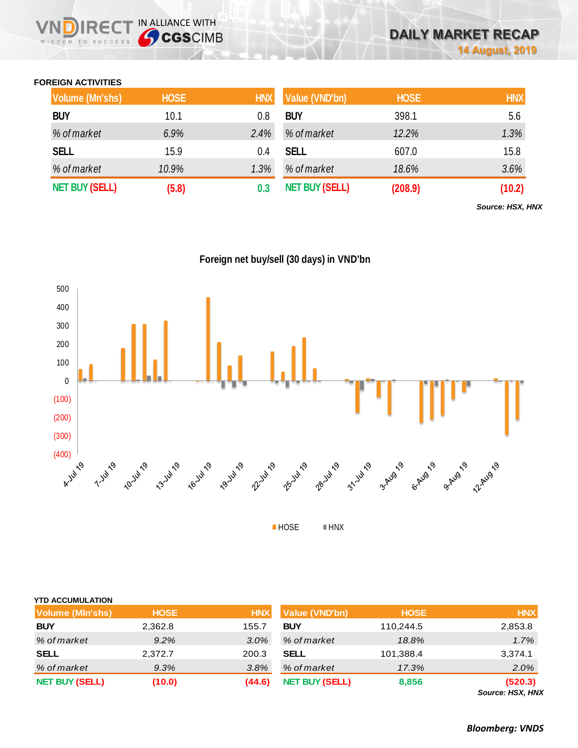## **FOREIGN ACTIVITIES**

WISDOM TO SUCCESS

**IRECT IN ALLIANCE WITH** 

| <b>Volume (Mn'shs)</b> | <b>HOSE</b> | <b>HNX</b> | Value (VND'bn)        | <b>HOSE</b> | <b>HNX</b> |
|------------------------|-------------|------------|-----------------------|-------------|------------|
| <b>BUY</b>             | 10.1        | 0.8        | <b>BUY</b>            | 398.1       | 5.6        |
| % of market            | 6.9%        | 2.4%       | % of market           | 12.2%       | 1.3%       |
| <b>SELL</b>            | 15.9        | 0.4        | <b>SELL</b>           | 607.0       | 15.8       |
| % of market            | 10.9%       | 1.3%       | % of market           | 18.6%       | 3.6%       |
| <b>NET BUY (SELL)</b>  | (5.8)       |            | <b>NET BUY (SELL)</b> | (208.9)     | (10.2)     |

*Source: HSX, HNX*



| <b>YTD ACCUMULATION</b> |             |            |                       |             |                          |
|-------------------------|-------------|------------|-----------------------|-------------|--------------------------|
| <b>Volume (MIn'shs)</b> | <b>HOSE</b> | <b>HNX</b> | Value (VND'bn)        | <b>HOSE</b> | <b>HNX</b>               |
| <b>BUY</b>              | 2,362.8     | 155.7      | <b>BUY</b>            | 110,244.5   | 2,853.8                  |
| % of market             | 9.2%        | 3.0%       | % of market           | 18.8%       | 1.7%                     |
| <b>SELL</b>             | 2,372.7     | 200.3      | <b>SELL</b>           | 101,388.4   | 3,374.1                  |
| % of market             | 9.3%        | 3.8%       | % of market           | 17.3%       | 2.0%                     |
| <b>NET BUY (SELL)</b>   | (10.0)      | (44.6)     | <b>NET BUY (SELL)</b> | 8,856       | (520.3)<br>Course HCV HM |

*Source: HSX, HNX*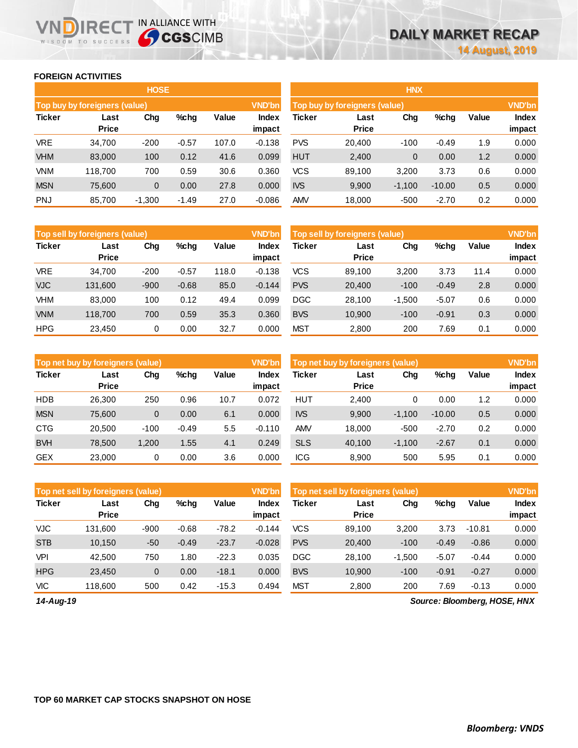## **FOREIGN ACTIVITIES**

WISDOM TO SUCCESS

**VNDIRECT IN ALLIANCE WITH** 

|               |                                                 | <b>HOSE</b> |         |       |                 | <b>HNX</b>                                     |                      |                |          |       |                        |  |
|---------------|-------------------------------------------------|-------------|---------|-------|-----------------|------------------------------------------------|----------------------|----------------|----------|-------|------------------------|--|
|               | Top buy by foreigners (value)                   |             |         |       | VND'bn          | <b>VND'bn</b><br>Top buy by foreigners (value) |                      |                |          |       |                        |  |
| <b>Ticker</b> | Value<br>Chg<br>$%$ chg<br>Last<br><b>Price</b> |             |         |       | Index<br>impact | <b>Ticker</b>                                  | Last<br><b>Price</b> | Chg            | %chg     | Value | <b>Index</b><br>impact |  |
| <b>VRE</b>    | 34.700                                          | $-200$      | $-0.57$ | 107.0 | $-0.138$        | <b>PVS</b>                                     | 20,400               | $-100$         | $-0.49$  | 1.9   | 0.000                  |  |
| <b>VHM</b>    | 83,000                                          | 100         | 0.12    | 41.6  | 0.099           | <b>HUT</b>                                     | 2,400                | $\overline{0}$ | 0.00     | 1.2   | 0.000                  |  |
| <b>VNM</b>    | 118.700                                         | 700         | 0.59    | 30.6  | 0.360           | <b>VCS</b>                                     | 89,100               | 3,200          | 3.73     | 0.6   | 0.000                  |  |
| <b>MSN</b>    | 75,600                                          | 0           | 0.00    | 27.8  | 0.000           | <b>IVS</b>                                     | 9,900                | $-1,100$       | $-10.00$ | 0.5   | 0.000                  |  |
| <b>PNJ</b>    | 85,700                                          | $-1,300$    | $-1.49$ | 27.0  | $-0.086$        | <b>AMV</b>                                     | 18,000               | $-500$         | $-2.70$  | 0.2   | 0.000                  |  |

|               | Top sell by foreigners (value) |        |         |       | <b>VND'bn</b>   | Top sell by foreigners (value) |                      |          |         |       |        |
|---------------|--------------------------------|--------|---------|-------|-----------------|--------------------------------|----------------------|----------|---------|-------|--------|
| <b>Ticker</b> | Last<br><b>Price</b>           | Chg    | %chg    | Value | Index<br>impact | Ticker                         | Last<br><b>Price</b> | Chg      | %chg    | Value | Index  |
|               |                                |        |         |       |                 |                                |                      |          |         |       | impact |
| <b>VRE</b>    | 34.700                         | $-200$ | $-0.57$ | 118.0 | $-0.138$        | <b>VCS</b>                     | 89.100               | 3.200    | 3.73    | 11.4  | 0.000  |
| <b>VJC</b>    | 131,600                        | $-900$ | $-0.68$ | 85.0  | $-0.144$        | <b>PVS</b>                     | 20.400               | $-100$   | $-0.49$ | 2.8   | 0.000  |
| VHM           | 83.000                         | 100    | 0.12    | 49.4  | 0.099           | <b>DGC</b>                     | 28.100               | $-1.500$ | $-5.07$ | 0.6   | 0.000  |
| <b>VNM</b>    | 118.700                        | 700    | 0.59    | 35.3  | 0.360           | <b>BVS</b>                     | 10,900               | $-100$   | $-0.91$ | 0.3   | 0.000  |
| <b>HPG</b>    | 23,450                         | 0      | 0.00    | 32.7  | 0.000           | <b>MST</b>                     | 2,800                | 200      | 7.69    | 0.1   | 0.000  |

|               | Top net buy by foreigners (value) |        |         |       | <b>VND'bn</b>   | Top net buy by foreigners (value) |                      |          |          |       |                        |
|---------------|-----------------------------------|--------|---------|-------|-----------------|-----------------------------------|----------------------|----------|----------|-------|------------------------|
| <b>Ticker</b> | Last<br><b>Price</b>              | Chg    | $%$ chq | Value | Index<br>impact | Ticker                            | Last<br><b>Price</b> | Chg      | %chg     | Value | <b>Index</b><br>impact |
| <b>HDB</b>    | 26.300                            | 250    | 0.96    | 10.7  | 0.072           | HUT                               | 2.400                | 0        | 0.00     | 1.2   | 0.000                  |
| <b>MSN</b>    | 75.600                            | 0      | 0.00    | 6.1   | 0.000           | <b>IVS</b>                        | 9,900                | $-1,100$ | $-10.00$ | 0.5   | 0.000                  |
| <b>CTG</b>    | 20.500                            | $-100$ | $-0.49$ | 5.5   | $-0.110$        | AMV                               | 18.000               | $-500$   | $-2.70$  | 0.2   | 0.000                  |
| <b>BVH</b>    | 78,500                            | 1,200  | 1.55    | 4.1   | 0.249           | <b>SLS</b>                        | 40,100               | $-1,100$ | $-2.67$  | 0.1   | 0.000                  |
| <b>GEX</b>    | 23,000                            | 0      | 0.00    | 3.6   | 0.000           | <b>ICG</b>                        | 8.900                | 500      | 5.95     | 0.1   | 0.000                  |

|               | Top net sell by foreigners (value) |        |         |         | <b>VND'bn</b>   | Top net sell by foreigners (value) |                      |          |         |          |                        |
|---------------|------------------------------------|--------|---------|---------|-----------------|------------------------------------|----------------------|----------|---------|----------|------------------------|
| <b>Ticker</b> | Last<br><b>Price</b>               | Chg    | $%$ chg | Value   | Index<br>impact | Ticker                             | Last<br><b>Price</b> | Chg      | %chg    | Value    | <b>Index</b><br>impact |
| <b>VJC</b>    | 131.600                            | $-900$ | $-0.68$ | $-78.2$ | $-0.144$        | <b>VCS</b>                         | 89.100               | 3,200    | 3.73    | $-10.81$ | 0.000                  |
| <b>STB</b>    | 10,150                             | $-50$  | $-0.49$ | $-23.7$ | $-0.028$        | <b>PVS</b>                         | 20,400               | $-100$   | $-0.49$ | $-0.86$  | 0.000                  |
| <b>VPI</b>    | 42.500                             | 750    | 1.80    | $-22.3$ | 0.035           | <b>DGC</b>                         | 28.100               | $-1,500$ | $-5.07$ | $-0.44$  | 0.000                  |
| <b>HPG</b>    | 23.450                             | 0      | 0.00    | $-18.1$ | 0.000           | <b>BVS</b>                         | 10,900               | $-100$   | $-0.91$ | $-0.27$  | 0.000                  |
| <b>VIC</b>    | 118.600                            | 500    | 0.42    | $-15.3$ | 0.494           | <b>MST</b>                         | 2,800                | 200      | 7.69    | $-0.13$  | 0.000                  |

*14-Aug-19*

*Source: Bloomberg, HOSE, HNX*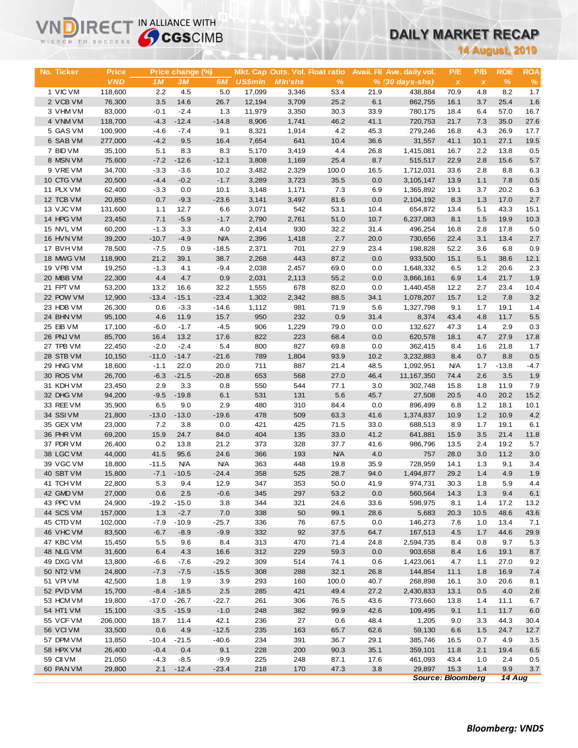# **DAILY MARKET RECAP**

| WISDOM TO SUCCESS      |                   | <b>Sy CGS</b> CIMB |                  |                   |                  |                                 |              |              |                            | UAILT MARREI REGAP       |              |                        |               |  |
|------------------------|-------------------|--------------------|------------------|-------------------|------------------|---------------------------------|--------------|--------------|----------------------------|--------------------------|--------------|------------------------|---------------|--|
|                        |                   |                    |                  |                   |                  |                                 |              |              |                            |                          |              | <b>14 August, 2019</b> |               |  |
|                        |                   |                    |                  |                   |                  |                                 |              |              |                            |                          |              |                        |               |  |
| No. Ticker             | <b>Price</b>      |                    | Price change (%) |                   |                  | Mkt. Cap Outs. Vol. Float ratio |              |              | Avail. Fil Ave. daily vol. | P/E                      | P/B          | <b>ROE</b>             | <b>ROA</b>    |  |
| 1 VIC VM               | <b>VND</b>        | 1M                 | 3M               | 6M                | <b>US\$mln</b>   | <b>MIn'shs</b>                  | %            |              | $% (30 \, days - shs)$     | $\pmb{\chi}$             | $\pmb{\chi}$ | $\%$                   | $\%$<br>1.7   |  |
| 2 VCB VM               | 118,600<br>76,300 | 2.2<br>3.5         | 4.5<br>14.6      | 5.0<br>26.7       | 17,099<br>12,194 | 3,346<br>3,709                  | 53.4<br>25.2 | 21.9<br>6.1  | 438,884<br>862,755         | 70.9<br>16.1             | 4.8<br>3.7   | 8.2<br>25.4            | 1.6           |  |
| 3 VHM VM               | 83,000            | $-0.1$             | $-2.4$           | 1.3               | 11,979           | 3,350                           | 30.3         | 33.9         | 780,175                    | 18.4                     | 6.4          | 57.0                   | 16.7          |  |
| 4 VNM VM               | 118,700           | $-4.3$             | $-12.4$          | $-14.8$           | 8,906            | 1,741                           | 46.2         | 41.1         | 720,753                    | 21.7                     | 7.3          | 35.0                   | 27.6          |  |
| 5 GAS VM               | 100,900           | $-4.6$             | $-7.4$           | 9.1               | 8,321            | 1,914                           | 4.2          | 45.3         | 279,246                    | 16.8                     | 4.3          | 26.9                   | 17.7          |  |
| 6 SAB VM               | 277,000           | $-4.2$             | 9.5              | 16.4              | 7,654            | 641                             | 10.4         | 36.6         | 31,557                     | 41.1                     | 10.1         | 27.1                   | 19.5          |  |
| 7 BID VM               | 35,100            | 5.1                | 8.3              | 8.3               | 5,170            | 3,419                           | 4.4          | 26.8         | 1,415,081                  | 16.7                     | 2.2          | 13.8                   | 0.5           |  |
| 8 MSN VM               | 75,600            | $-7.2$             | $-12.6$          | $-12.1$           | 3,808            | 1,169                           | 25.4         | 8.7          | 515,517                    | 22.9                     | 2.8          | 15.6                   | 5.7           |  |
| 9 VRE VM               | 34,700            | $-3.3$             | $-3.6$           | 10.2              | 3,482            | 2,329                           | 100.0        | 16.5         | 1,712,031                  | 33.6                     | 2.8          | 8.8                    | 6.3           |  |
| 10 CTG VM              | 20,500            | $-4.4$             | $-0.2$           | $-1.7$            | 3,289            | 3,723                           | 35.5         | 0.0          | 3,105,147                  | 13.9                     | 1.1          | 7.8                    | $0.5\,$       |  |
| 11 PLX VM              | 62,400            | $-3.3$             | 0.0              | 10.1              | 3,148            | 1,171                           | 7.3          | 6.9          | 1,365,892                  | 19.1                     | 3.7          | 20.2                   | 6.3           |  |
| 12 TCB VM              | 20,850            | 0.7                | $-9.3$           | $-23.6$           | 3,141            | 3,497                           | 81.6         | 0.0          | 2,104,192                  | 8.3                      | 1.3          | 17.0                   | 2.7           |  |
| 13 VJC VM              | 131,600           | 1.1                | 12.7             | 6.6               | 3,071            | 542                             | 53.1         | 10.4         | 654,872                    | 13.4                     | 5.1          | 43.3                   | 15.1          |  |
| 14 HPG VM              | 23,450            | 7.1                | $-5.9$           | $-1.7$            | 2,790            | 2,761                           | 51.0         | 10.7         | 6,237,083                  | 8.1                      | 1.5          | 19.9                   | 10.3          |  |
| 15 NVL VM<br>16 HVN VM | 60,200<br>39,200  | $-1.3$<br>$-10.7$  | 3.3<br>$-4.9$    | 4.0<br><b>N/A</b> | 2,414<br>2,396   | 930<br>1,418                    | 32.2<br>2.7  | 31.4<br>20.0 | 496.254<br>730,656         | 16.8<br>22.4             | 2.8<br>3.1   | 17.8<br>13.4           | 5.0<br>2.7    |  |
| 17 BVHVM               | 78,500            | $-7.5$             | 0.9              | $-18.5$           | 2,371            | 701                             | 27.9         | 23.4         | 198,828                    | 52.2                     | 3.6          | 6.8                    | 0.9           |  |
| 18 MWG VM              | 118,900           | 21.2               | 39.1             | 38.7              | 2,268            | 443                             | 87.2         | 0.0          | 933,500                    | 15.1                     | 5.1          | 38.6                   | 12.1          |  |
| 19 VPB VM              | 19,250            | $-1.3$             | 4.1              | $-9.4$            | 2,038            | 2,457                           | 69.0         | 0.0          | 1,648,332                  | 6.5                      | 1.2          | 20.6                   | 2.3           |  |
| 20 MBB VM              | 22,300            | 4.4                | 4.7              | 0.9               | 2,031            | 2,113                           | 55.2         | 0.0          | 3,866,161                  | 6.9                      | 1.4          | 21.7                   | 1.9           |  |
| 21 FPT VM              | 53,200            | 13.2               | 16.6             | 32.2              | 1,555            | 678                             | 82.0         | 0.0          | 1,440,458                  | 12.2                     | 2.7          | 23.4                   | 10.4          |  |
| 22 POW VM              | 12,900            | $-13.4$            | $-15.1$          | $-23.4$           | 1,302            | 2,342                           | 88.5         | 34.1         | 1,078,207                  | 15.7                     | 1.2          | 7.8                    | 3.2           |  |
| 23 HDB VM              | 26,300            | 0.6                | $-3.3$           | $-14.6$           | 1,112            | 981                             | 71.9         | 5.6          | 1,327,798                  | 9.1                      | 1.7          | 19.1                   | 1.4           |  |
| 24 BHN VM              | 95,100            | 4.6                | 11.9             | 15.7              | 950              | 232                             | 0.9          | 31.4         | 8,374                      | 43.4                     | 4.8          | 11.7                   | 5.5           |  |
| 25 EIB VM              | 17,100            | $-6.0$             | $-1.7$           | $-4.5$            | 906              | 1,229                           | 79.0         | 0.0          | 132,627                    | 47.3                     | 1.4          | 2.9                    | 0.3           |  |
| 26 PNJ VM              | 85,700            | 16.4               | 13.2             | 17.6              | 822              | 223                             | 68.4         | 0.0          | 620,578                    | 18.1                     | 4.7          | 27.9                   | 17.8          |  |
| 27 TPB VM              | 22,450            | $-2.0$             | $-2.4$           | 5.4               | 800              | 827                             | 69.8         | 0.0          | 362,415                    | 8.4                      | 1.6          | 21.8                   | 1.7           |  |
| 28 STB VM<br>29 HNG VM | 10,150            | $-11.0$<br>$-1.1$  | $-14.7$<br>22.0  | $-21.6$<br>20.0   | 789<br>711       | 1,804<br>887                    | 93.9<br>21.4 | 10.2<br>48.5 | 3,232,883                  | 8.4<br><b>N/A</b>        | 0.7          | 8.8<br>$-13.8$         | 0.5<br>$-4.7$ |  |
| 30 ROS VM              | 18,600<br>26,700  | $-6.3$             | $-21.5$          | $-20.8$           | 653              | 568                             | 27.0         | 46.4         | 1,092,951<br>11,167,350    | 74.4                     | 1.7<br>2.6   | 3.5                    | 1.9           |  |
| 31 KDH VM              | 23,450            | 2.9                | 3.3              | 0.8               | 550              | 544                             | 77.1         | 3.0          | 302,748                    | 15.8                     | 1.8          | 11.9                   | 7.9           |  |
| 32 DHG VM              | 94,200            | $-9.5$             | $-19.8$          | 6.1               | 531              | 131                             | 5.6          | 45.7         | 27,508                     | 20.5                     | 4.0          | 20.2                   | 15.2          |  |
| 33 REE VM              | 35,900            | 6.5                | 9.0              | 2.9               | 480              | 310                             | 84.4         | 0.0          | 896,499                    | 6.8                      | 1.2          | 18.1                   | 10.1          |  |
| 34 SSIVM               | 21,800            | $-13.0$            | $-13.0$          | $-19.6$           | 478              | 509                             | 63.3         | 41.6         | 1,374,837                  | 10.9                     | 1.2          | 10.9                   | 4.2           |  |
| 35 GEX VM              | 23,000            | 7.2                | 3.8              | 0.0               | 421              | 425                             | 71.5         | 33.0         | 688,513                    | 8.9                      | 1.7          | 19.1                   | 6.1           |  |
| 36 PHR VM              | 69,200            | 15.9               | 24.7             | 84.0              | 404              | 135                             | 33.0         | 41.2         | 641,881                    | 15.9                     | 3.5          | 21.4                   | 11.8          |  |
| 37 PDR VM              | 26,400            | 0.2                | 13.8             | 21.2              | 373              | 328                             | 37.7         | 41.6         | 986,796                    | 13.5                     | 2.4          | 19.2                   | 5.7           |  |
| 38 LGC VM              | 44.000            | 41.5               | 95.6             | 24.6              | 366              | 193                             | <b>N/A</b>   | 4.0          | 757                        | 28.0                     | 3.0          | 11.2                   | 3.0           |  |
| 39 VGC VM              | 18,800            | $-11.5$            | <b>N/A</b>       | <b>N/A</b>        | 363              | 448                             | 19.8         | 35.9         | 728,959                    | 14.1                     | 1.3          | 9.1                    | 3.4           |  |
| 40 SBT VM              | 15,800            | $-7.1$             | $-10.5$          | $-24.4$           | 358              | 525                             | 28.7         | 94.0         | 1,494,877                  | 29.2                     | 1.4          | 4.9                    | 1.9           |  |
| 41 TCH VM<br>42 GMD VM | 22,800<br>27,000  | 5.3<br>0.6         | 9.4<br>2.5       | 12.9<br>$-0.6$    | 347<br>345       | 353<br>297                      | 50.0<br>53.2 | 41.9<br>0.0  | 974,731<br>560,564         | 30.3<br>14.3             | 1.8<br>1.3   | 5.9<br>9.4             | 4.4<br>6.1    |  |
| 43 PPC VM              | 24,900            | $-19.2$            | $-15.0$          | 3.8               | 344              | 321                             | 24.6         | 33.6         | 598,975                    | 8.1                      | 1.4          | 17.2                   | 13.2          |  |
| 44 SCS VM              | 157,000           | 1.3                | $-2.7$           | 7.0               | 338              | 50                              | 99.1         | 28.6         | 5,683                      | 20.3                     | 10.5         | 48.6                   | 43.6          |  |
| 45 CTD VM              | 102,000           | $-7.9$             | $-10.9$          | $-25.7$           | 336              | 76                              | 67.5         | 0.0          | 146,273                    | 7.6                      | 1.0          | 13.4                   | 7.1           |  |
| 46 VHC VM              | 83,500            | $-6.7$             | $-8.9$           | $-9.9$            | 332              | 92                              | 37.5         | 64.7         | 167,513                    | 4.5                      | 1.7          | 44.6                   | 29.9          |  |
| 47 KBC VM              | 15,450            | 5.5                | 9.6              | 8.4               | 313              | 470                             | 71.4         | 24.8         | 2,594,735                  | 8.4                      | 0.8          | 9.7                    | 5.3           |  |
| 48 NLG VM              | 31,600            | 6.4                | 4.3              | 16.6              | 312              | 229                             | 59.3         | 0.0          | 903,658                    | 8.4                      | 1.6          | 19.1                   | 8.7           |  |
| 49 DXG VM              | 13,800            | $-6.6$             | $-7.6$           | $-29.2$           | 309              | 514                             | 74.1         | 0.6          | 1,423,061                  | 4.7                      | 1.1          | 27.0                   | 9.2           |  |
| 50 NT2 VM              | 24,800            | $-7.3$             | $-7.5$           | $-15.5$           | 308              | 288                             | 32.1         | 26.8         | 144,854                    | 11.1                     | 1.8          | 16.9                   | 7.4           |  |
| 51 VPIVM               | 42,500            | 1.8                | 1.9              | 3.9               | 293              | 160                             | 100.0        | 40.7         | 268,898                    | 16.1                     | 3.0          | 20.6                   | 8.1           |  |
| 52 PVD VM              | 15,700            | $-8.4$             | $-18.5$          | 2.5               | 285              | 421                             | 49.4         | 27.2         | 2,430,833                  | 13.1                     | 0.5          | 4.0                    | 2.6           |  |
| 53 HCM VM              | 19,800            | $-17.0$            | $-26.7$          | $-22.7$           | 261              | 306                             | 76.5         | 43.6         | 773,660                    | 13.8                     | 1.4          | 11.1                   | 6.7           |  |
| 54 HT1 VM              | 15,100            | $-3.5$             | $-15.9$          | $-1.0$            | 248              | 382                             | 99.9         | 42.6         | 109,495                    | 9.1                      | 1.1          | 11.7                   | 6.0           |  |
| 55 VCF VM<br>56 VCI VM | 206,000<br>33,500 | 18.7<br>0.6        | 11.4<br>4.9      | 42.1<br>$-12.5$   | 236<br>235       | 27<br>163                       | 0.6<br>65.7  | 48.4<br>62.6 | 1,205<br>59,130            | 9.0<br>6.6               | 3.3<br>1.5   | 44.3<br>24.7           | 30.4<br>12.7  |  |
| 57 DPM VM              | 13,850            | $-10.4$            | $-21.5$          | $-40.6$           | 234              | 391                             | 36.7         | 29.1         | 385,746                    | 16.5                     | 0.7          | 4.9                    | 3.5           |  |
| 58 HPX VM              | 26,400            | $-0.4$             | 0.4              | 9.1               | 228              | 200                             | 90.3         | 35.1         | 359,101                    | 11.8                     | 2.1          | 19.4                   | 6.5           |  |
| 59 CII VM              | 21,050            | $-4.3$             | $-8.5$           | $-9.9$            | 225              | 248                             | 87.1         | 17.6         | 461,093                    | 43.4                     | 1.0          | 2.4                    | 0.5           |  |
| 60 PAN VM              | 29,800            | 2.1                | $-12.4$          | $-23.4$           | 218              | 170                             | 47.3         | 3.8          | 29,897                     | 15.3                     | 1.4          | 9.9                    | $3.7\,$       |  |
|                        |                   |                    |                  |                   |                  |                                 |              |              |                            | <b>Source: Bloomberg</b> |              | 14 Aug                 |               |  |

**VNDIRECT IN ALLIANCE WITH**